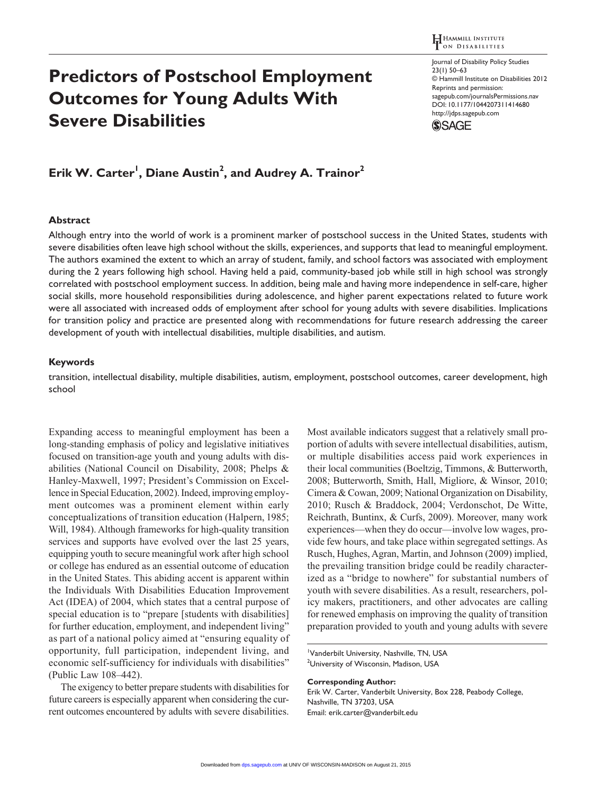# **Predictors of Postschool Employment Outcomes for Young Adults With Severe Disabilities**

H HAMMILL INSTITUTE<br>ON DISABILITIES

Journal of Disability Policy Studies 23(1) 50–63 © Hammill Institute on Disabilities 2012 Reprints and permission: sagepub.com/journalsPermissions.nav DOI: 10.1177/1044207311414680 http://jdps.sagepub.com



**Erik W. Carter<sup>1</sup>, Diane Austin<sup>2</sup>, and Audrey A. Trainor<sup>2</sup>** 

### **Abstract**

Although entry into the world of work is a prominent marker of postschool success in the United States, students with severe disabilities often leave high school without the skills, experiences, and supports that lead to meaningful employment. The authors examined the extent to which an array of student, family, and school factors was associated with employment during the 2 years following high school. Having held a paid, community-based job while still in high school was strongly correlated with postschool employment success. In addition, being male and having more independence in self-care, higher social skills, more household responsibilities during adolescence, and higher parent expectations related to future work were all associated with increased odds of employment after school for young adults with severe disabilities. Implications for transition policy and practice are presented along with recommendations for future research addressing the career development of youth with intellectual disabilities, multiple disabilities, and autism.

### **Keywords**

transition, intellectual disability, multiple disabilities, autism, employment, postschool outcomes, career development, high school

Expanding access to meaningful employment has been a long-standing emphasis of policy and legislative initiatives focused on transition-age youth and young adults with disabilities (National Council on Disability, 2008; Phelps & Hanley-Maxwell, 1997; President's Commission on Excellence in Special Education, 2002). Indeed, improving employment outcomes was a prominent element within early conceptualizations of transition education (Halpern, 1985; Will, 1984). Although frameworks for high-quality transition services and supports have evolved over the last 25 years, equipping youth to secure meaningful work after high school or college has endured as an essential outcome of education in the United States. This abiding accent is apparent within the Individuals With Disabilities Education Improvement Act (IDEA) of 2004, which states that a central purpose of special education is to "prepare [students with disabilities] for further education, employment, and independent living" as part of a national policy aimed at "ensuring equality of opportunity, full participation, independent living, and economic self-sufficiency for individuals with disabilities" (Public Law 108–442).

The exigency to better prepare students with disabilities for future careers is especially apparent when considering the current outcomes encountered by adults with severe disabilities. Most available indicators suggest that a relatively small proportion of adults with severe intellectual disabilities, autism, or multiple disabilities access paid work experiences in their local communities (Boeltzig, Timmons, & Butterworth, 2008; Butterworth, Smith, Hall, Migliore, & Winsor, 2010; Cimera & Cowan, 2009; National Organization on Disability, 2010; Rusch & Braddock, 2004; Verdonschot, De Witte, Reichrath, Buntinx, & Curfs, 2009). Moreover, many work experiences—when they do occur—involve low wages, provide few hours, and take place within segregated settings. As Rusch, Hughes, Agran, Martin, and Johnson (2009) implied, the prevailing transition bridge could be readily characterized as a "bridge to nowhere" for substantial numbers of youth with severe disabilities. As a result, researchers, policy makers, practitioners, and other advocates are calling for renewed emphasis on improving the quality of transition preparation provided to youth and young adults with severe

<sup>1</sup>Vanderbilt University, Nashville, TN, USA <sup>2</sup>University of Wisconsin, Madison, USA

#### **Corresponding Author:**

Erik W. Carter, Vanderbilt University, Box 228, Peabody College, Nashville, TN 37203, USA Email: erik.carter@vanderbilt.edu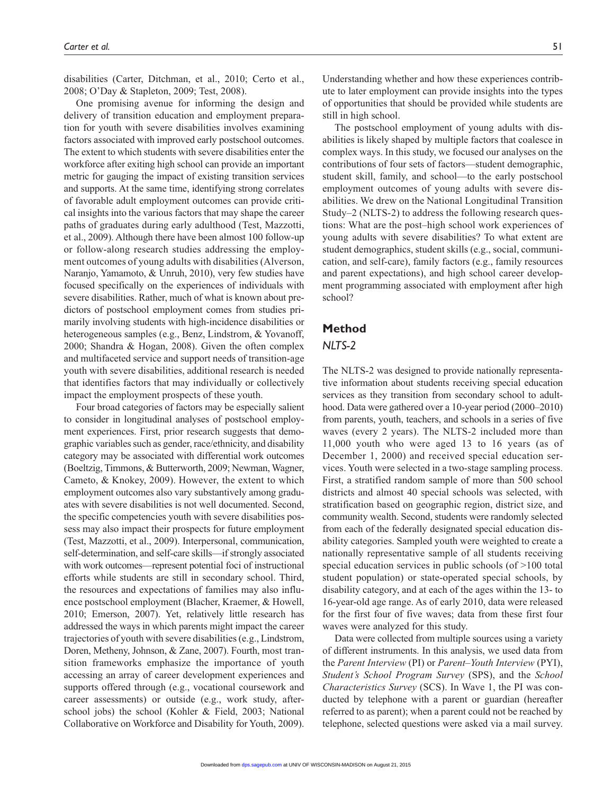disabilities (Carter, Ditchman, et al., 2010; Certo et al., 2008; O'Day & Stapleton, 2009; Test, 2008).

One promising avenue for informing the design and delivery of transition education and employment preparation for youth with severe disabilities involves examining factors associated with improved early postschool outcomes. The extent to which students with severe disabilities enter the workforce after exiting high school can provide an important metric for gauging the impact of existing transition services and supports. At the same time, identifying strong correlates of favorable adult employment outcomes can provide critical insights into the various factors that may shape the career paths of graduates during early adulthood (Test, Mazzotti, et al., 2009). Although there have been almost 100 follow-up or follow-along research studies addressing the employment outcomes of young adults with disabilities (Alverson, Naranjo, Yamamoto, & Unruh, 2010), very few studies have focused specifically on the experiences of individuals with severe disabilities. Rather, much of what is known about predictors of postschool employment comes from studies primarily involving students with high-incidence disabilities or heterogeneous samples (e.g., Benz, Lindstrom, & Yovanoff, 2000; Shandra & Hogan, 2008). Given the often complex and multifaceted service and support needs of transition-age youth with severe disabilities, additional research is needed that identifies factors that may individually or collectively impact the employment prospects of these youth.

Four broad categories of factors may be especially salient to consider in longitudinal analyses of postschool employment experiences. First, prior research suggests that demographic variables such as gender, race/ethnicity, and disability category may be associated with differential work outcomes (Boeltzig, Timmons, & Butterworth, 2009; Newman, Wagner, Cameto, & Knokey, 2009). However, the extent to which employment outcomes also vary substantively among graduates with severe disabilities is not well documented. Second, the specific competencies youth with severe disabilities possess may also impact their prospects for future employment (Test, Mazzotti, et al., 2009). Interpersonal, communication, self-determination, and self-care skills—if strongly associated with work outcomes—represent potential foci of instructional efforts while students are still in secondary school. Third, the resources and expectations of families may also influence postschool employment (Blacher, Kraemer, & Howell, 2010; Emerson, 2007). Yet, relatively little research has addressed the ways in which parents might impact the career trajectories of youth with severe disabilities (e.g., Lindstrom, Doren, Metheny, Johnson, & Zane, 2007). Fourth, most transition frameworks emphasize the importance of youth accessing an array of career development experiences and supports offered through (e.g., vocational coursework and career assessments) or outside (e.g., work study, afterschool jobs) the school (Kohler & Field, 2003; National Collaborative on Workforce and Disability for Youth, 2009).

Understanding whether and how these experiences contribute to later employment can provide insights into the types of opportunities that should be provided while students are still in high school.

The postschool employment of young adults with disabilities is likely shaped by multiple factors that coalesce in complex ways. In this study, we focused our analyses on the contributions of four sets of factors—student demographic, student skill, family, and school—to the early postschool employment outcomes of young adults with severe disabilities. We drew on the National Longitudinal Transition Study–2 (NLTS-2) to address the following research questions: What are the post–high school work experiences of young adults with severe disabilities? To what extent are student demographics, student skills (e.g., social, communication, and self-care), family factors (e.g., family resources and parent expectations), and high school career development programming associated with employment after high school?

### **Method**

## *NLTS-2*

The NLTS-2 was designed to provide nationally representative information about students receiving special education services as they transition from secondary school to adulthood. Data were gathered over a 10-year period (2000–2010) from parents, youth, teachers, and schools in a series of five waves (every 2 years). The NLTS-2 included more than 11,000 youth who were aged 13 to 16 years (as of December 1, 2000) and received special education services. Youth were selected in a two-stage sampling process. First, a stratified random sample of more than 500 school districts and almost 40 special schools was selected, with stratification based on geographic region, district size, and community wealth. Second, students were randomly selected from each of the federally designated special education disability categories. Sampled youth were weighted to create a nationally representative sample of all students receiving special education services in public schools (of >100 total student population) or state-operated special schools, by disability category, and at each of the ages within the 13- to 16-year-old age range. As of early 2010, data were released for the first four of five waves; data from these first four waves were analyzed for this study.

Data were collected from multiple sources using a variety of different instruments. In this analysis, we used data from the *Parent Interview* (PI) or *Parent*–*Youth Interview* (PYI), *Student's School Program Survey* (SPS), and the *School Characteristics Survey* (SCS). In Wave 1, the PI was conducted by telephone with a parent or guardian (hereafter referred to as parent); when a parent could not be reached by telephone, selected questions were asked via a mail survey.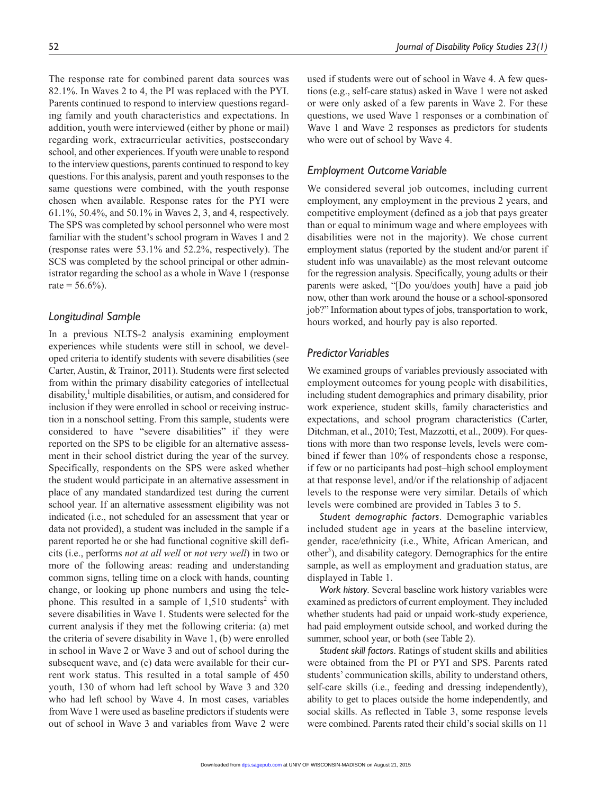The response rate for combined parent data sources was 82.1%. In Waves 2 to 4, the PI was replaced with the PYI. Parents continued to respond to interview questions regarding family and youth characteristics and expectations. In addition, youth were interviewed (either by phone or mail) regarding work, extracurricular activities, postsecondary school, and other experiences. If youth were unable to respond to the interview questions, parents continued to respond to key questions. For this analysis, parent and youth responses to the same questions were combined, with the youth response chosen when available. Response rates for the PYI were 61.1%, 50.4%, and 50.1% in Waves 2, 3, and 4, respectively. The SPS was completed by school personnel who were most familiar with the student's school program in Waves 1 and 2 (response rates were 53.1% and 52.2%, respectively). The SCS was completed by the school principal or other administrator regarding the school as a whole in Wave 1 (response rate =  $56.6\%$ ).

### *Longitudinal Sample*

In a previous NLTS-2 analysis examining employment experiences while students were still in school, we developed criteria to identify students with severe disabilities (see Carter, Austin, & Trainor, 2011). Students were first selected from within the primary disability categories of intellectual disability,<sup>1</sup> multiple disabilities, or autism, and considered for inclusion if they were enrolled in school or receiving instruction in a nonschool setting. From this sample, students were considered to have "severe disabilities" if they were reported on the SPS to be eligible for an alternative assessment in their school district during the year of the survey. Specifically, respondents on the SPS were asked whether the student would participate in an alternative assessment in place of any mandated standardized test during the current school year. If an alternative assessment eligibility was not indicated (i.e., not scheduled for an assessment that year or data not provided), a student was included in the sample if a parent reported he or she had functional cognitive skill deficits (i.e., performs *not at all well* or *not very well*) in two or more of the following areas: reading and understanding common signs, telling time on a clock with hands, counting change, or looking up phone numbers and using the telephone. This resulted in a sample of  $1,510$  students<sup>2</sup> with severe disabilities in Wave 1. Students were selected for the current analysis if they met the following criteria: (a) met the criteria of severe disability in Wave 1, (b) were enrolled in school in Wave 2 or Wave 3 and out of school during the subsequent wave, and (c) data were available for their current work status. This resulted in a total sample of 450 youth, 130 of whom had left school by Wave 3 and 320 who had left school by Wave 4. In most cases, variables from Wave 1 were used as baseline predictors if students were out of school in Wave 3 and variables from Wave 2 were

used if students were out of school in Wave 4. A few questions (e.g., self-care status) asked in Wave 1 were not asked or were only asked of a few parents in Wave 2. For these questions, we used Wave 1 responses or a combination of Wave 1 and Wave 2 responses as predictors for students who were out of school by Wave 4.

### *Employment Outcome Variable*

We considered several job outcomes, including current employment, any employment in the previous 2 years, and competitive employment (defined as a job that pays greater than or equal to minimum wage and where employees with disabilities were not in the majority). We chose current employment status (reported by the student and/or parent if student info was unavailable) as the most relevant outcome for the regression analysis. Specifically, young adults or their parents were asked, "[Do you/does youth] have a paid job now, other than work around the house or a school-sponsored job?" Information about types of jobs, transportation to work, hours worked, and hourly pay is also reported.

### *Predictor Variables*

We examined groups of variables previously associated with employment outcomes for young people with disabilities, including student demographics and primary disability, prior work experience, student skills, family characteristics and expectations, and school program characteristics (Carter, Ditchman, et al., 2010; Test, Mazzotti, et al., 2009). For questions with more than two response levels, levels were combined if fewer than 10% of respondents chose a response, if few or no participants had post–high school employment at that response level, and/or if the relationship of adjacent levels to the response were very similar. Details of which levels were combined are provided in Tables 3 to 5.

*Student demographic factors*. Demographic variables included student age in years at the baseline interview, gender, race/ethnicity (i.e., White, African American, and other<sup>3</sup>), and disability category. Demographics for the entire sample, as well as employment and graduation status, are displayed in Table 1.

*Work history*. Several baseline work history variables were examined as predictors of current employment. They included whether students had paid or unpaid work-study experience, had paid employment outside school, and worked during the summer, school year, or both (see Table 2).

*Student skill factors*. Ratings of student skills and abilities were obtained from the PI or PYI and SPS. Parents rated students' communication skills, ability to understand others, self-care skills (i.e., feeding and dressing independently), ability to get to places outside the home independently, and social skills. As reflected in Table 3, some response levels were combined. Parents rated their child's social skills on 11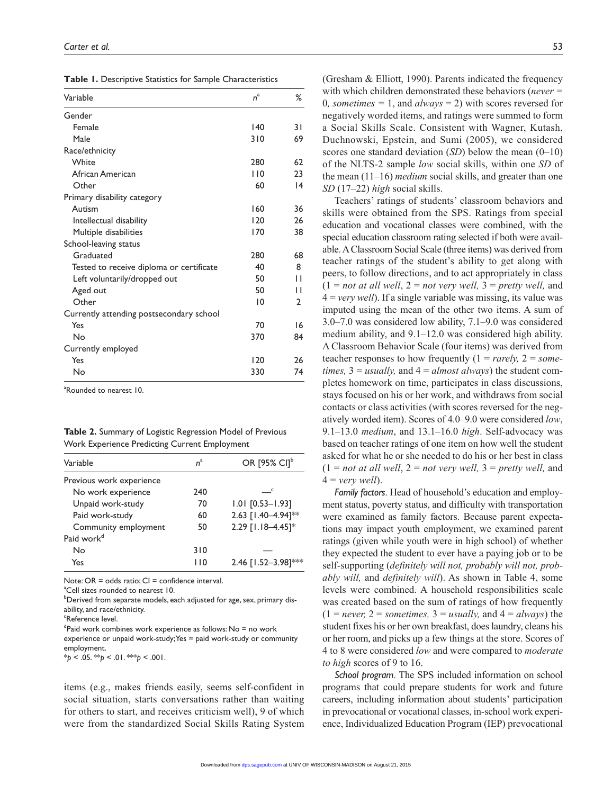| Variable                                 | $n^a$ | ℅              |
|------------------------------------------|-------|----------------|
| Gender                                   |       |                |
| Female                                   | 140   | 31             |
| Male                                     | 310   | 69             |
| Race/ethnicity                           |       |                |
| White                                    | 280   | 62             |
| African American                         | 110   | 23             |
| Other                                    | 60    | 4              |
| Primary disability category              |       |                |
| Autism                                   | 160   | 36             |
| Intellectual disability                  | 120   | 26             |
| Multiple disabilities                    | 170   | 38             |
| School-leaving status                    |       |                |
| Graduated                                | 280   | 68             |
| Tested to receive diploma or certificate | 40    | 8              |
| Left voluntarily/dropped out             | 50    | Н              |
| Aged out                                 | 50    | Н              |
| Other                                    | 10    | $\mathfrak{p}$ |
| Currently attending postsecondary school |       |                |
| Yes                                      | 70    | 16             |
| No                                       | 370   | 84             |
| Currently employed                       |       |                |
| Yes                                      | 120   | 26             |
| No                                       | 330   | 74             |

<sup>a</sup>Rounded to nearest 10.

**Table 2.** Summary of Logistic Regression Model of Previous Work Experience Predicting Current Employment

| $n^{\rm a}$<br>Variable  |       | OR [95% CI] <sup>b</sup> |
|--------------------------|-------|--------------------------|
| Previous work experience |       |                          |
| No work experience       | 240   |                          |
| Unpaid work-study        | 70    | $1.01$ [0.53-1.93]       |
| Paid work-study          | 60    | 2.63 [1.40-4.94]**       |
| Community employment     | 50    | 2.29 [1.18-4.45]*        |
| Paid work <sup>d</sup>   |       |                          |
| No                       | 310   |                          |
| Yes                      | 1 I O | 2.46 [1.52-3.98]***      |

Note: OR = odds ratio; CI = confidence interval.

<sup>a</sup>Cell sizes rounded to nearest 10.

 $^{\rm b}$ Derived from separate models, each adjusted for age, sex, primary disability, and race/ethnicity.

<sup>c</sup>Reference level.

 $d$ Paid work combines work experience as follows: No = no work experience or unpaid work-study; Yes = paid work-study or community employment.  $*_{p}$  < .05. \*\**p* < .01. \*\**p* < .001.

items (e.g., makes friends easily, seems self-confident in social situation, starts conversations rather than waiting for others to start, and receives criticism well), 9 of which were from the standardized Social Skills Rating System

(Gresham & Elliott, 1990). Parents indicated the frequency with which children demonstrated these behaviors (*never =* 0*, sometimes =* 1, and *always* = 2) with scores reversed for negatively worded items, and ratings were summed to form a Social Skills Scale. Consistent with Wagner, Kutash, Duchnowski, Epstein, and Sumi (2005), we considered scores one standard deviation (*SD*) below the mean (0–10) of the NLTS-2 sample *low* social skills, within one *SD* of the mean (11–16) *medium* social skills, and greater than one *SD* (17–22) *high* social skills.

Teachers' ratings of students' classroom behaviors and skills were obtained from the SPS. Ratings from special education and vocational classes were combined, with the special education classroom rating selected if both were available. A Classroom Social Scale (three items) was derived from teacher ratings of the student's ability to get along with peers, to follow directions, and to act appropriately in class  $(1 = not at all well, 2 = not very well, 3 = pretty well, and$ 4 = *very well*). If a single variable was missing, its value was imputed using the mean of the other two items. A sum of 3.0–7.0 was considered low ability, 7.1–9.0 was considered medium ability, and 9.1–12.0 was considered high ability. A Classroom Behavior Scale (four items) was derived from teacher responses to how frequently (1 = *rarely,* 2 = *sometimes,* 3 = *usually,* and 4 = *almost always*) the student completes homework on time, participates in class discussions, stays focused on his or her work, and withdraws from social contacts or class activities (with scores reversed for the negatively worded item). Scores of 4.0–9.0 were considered *low*, 9.1–13.0 *medium*, and 13.1–16.0 *high*. Self-advocacy was based on teacher ratings of one item on how well the student asked for what he or she needed to do his or her best in class  $(1 = not at all well, 2 = not very well, 3 = pretty well, and)$  $4 = \text{very well}.$ 

*Family factors*. Head of household's education and employment status, poverty status, and difficulty with transportation were examined as family factors. Because parent expectations may impact youth employment, we examined parent ratings (given while youth were in high school) of whether they expected the student to ever have a paying job or to be self-supporting (*definitely will not, probably will not, probably will,* and *definitely will*). As shown in Table 4, some levels were combined. A household responsibilities scale was created based on the sum of ratings of how frequently  $(1 = never, 2 = sometimes, 3 = usually, and 4 = always)$  the student fixes his or her own breakfast, does laundry, cleans his or her room, and picks up a few things at the store. Scores of 4 to 8 were considered *low* and were compared to *moderate to high* scores of 9 to 16.

*School program*. The SPS included information on school programs that could prepare students for work and future careers, including information about students' participation in prevocational or vocational classes, in-school work experience, Individualized Education Program (IEP) prevocational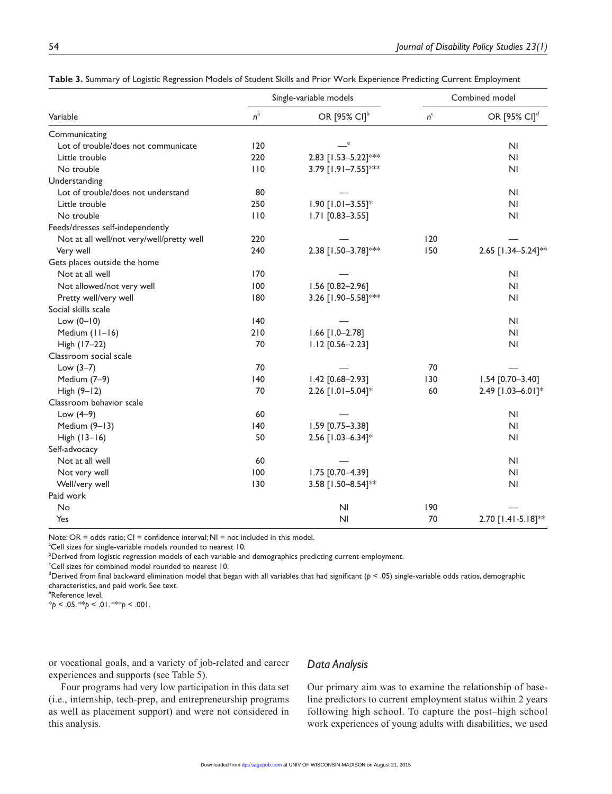|                                           | Single-variable models |                          | Combined model |                          |
|-------------------------------------------|------------------------|--------------------------|----------------|--------------------------|
| Variable                                  | $n^a$                  | OR [95% CI] <sup>b</sup> | $n^{c}$        | OR [95% CI] <sup>d</sup> |
| Communicating                             |                        |                          |                |                          |
| Lot of trouble/does not communicate       | 120                    | e                        |                | N <sub>1</sub>           |
| Little trouble                            | 220                    | 2.83 [1.53-5.22]**       |                | N <sub>1</sub>           |
| No trouble                                | 110                    | 3.79 [1.91-7.55]**       |                | N <sub>1</sub>           |
| Understanding                             |                        |                          |                |                          |
| Lot of trouble/does not understand        | 80                     |                          |                | N <sub>1</sub>           |
| Little trouble                            | 250                    | $1.90$ [1.01-3.55]*      |                | N <sub>1</sub>           |
| No trouble                                | 110                    | $1.71$ [0.83-3.55]       |                | N <sub>1</sub>           |
| Feeds/dresses self-independently          |                        |                          |                |                          |
| Not at all well/not very/well/pretty well | 220                    |                          | 120            |                          |
| Very well                                 | 240                    | 2.38 [1.50-3.78]***      | 150            | 2.65 [1.34-5.24]**       |
| Gets places outside the home              |                        |                          |                |                          |
| Not at all well                           | 170                    |                          |                | NI                       |
| Not allowed/not very well                 | 100                    | 1.56 [0.82-2.96]         |                | N <sub>1</sub>           |
| Pretty well/very well                     | 180                    | 3.26 [1.90-5.58]**       |                | N <sub>1</sub>           |
| Social skills scale                       |                        |                          |                |                          |
| Low $(0 - 10)$                            | 140                    |                          |                | N <sub>1</sub>           |
| Medium (11-16)                            | 210                    | $1.66$ [ $1.0 - 2.78$ ]  |                | N <sub>1</sub>           |
| High (17-22)                              | 70                     | $1.12$ [0.56-2.23]       |                | NI                       |
| Classroom social scale                    |                        |                          |                |                          |
| Low $(3-7)$                               | 70                     |                          | 70             |                          |
| Medium (7-9)                              | 140                    | 1.42 [0.68-2.93]         | 130            | 1.54 [0.70-3.40]         |
| High $(9-12)$                             | 70                     | 2.26 [1.01-5.04]*        | 60             | 2.49 [1.03-6.01]*        |
| Classroom behavior scale                  |                        |                          |                |                          |
| Low $(4-9)$                               | 60                     |                          |                | NI                       |
| Medium (9-13)                             | 140                    | $1.59$ [0.75-3.38]       |                | N <sub>1</sub>           |
| High (13-16)                              | 50                     | 2.56 [1.03-6.34]*        |                | N <sub>1</sub>           |
| Self-advocacy                             |                        |                          |                |                          |
| Not at all well                           | 60                     |                          |                | N <sub>1</sub>           |
| Not very well                             | 100                    | 1.75 [0.70-4.39]         |                | N <sub>1</sub>           |
| Well/very well                            | 130                    | 3.58 [1.50-8.54]**       |                | NI                       |
| Paid work                                 |                        |                          |                |                          |
| No                                        |                        | ΝI                       | 190            |                          |
| Yes                                       |                        | N <sub>1</sub>           | 70             | 2.70 [1.41-5.18]**       |

**Table 3.** Summary of Logistic Regression Models of Student Skills and Prior Work Experience Predicting Current Employment

Note:  $OR = odds ratio$ ;  $CI = confidence interval$ ;  $NI = not included in this model$ .

<sup>a</sup>Cell sizes for single-variable models rounded to nearest 10.

**bDerived from logistic regression models of each variable and demographics predicting current employment.** 

<sup>c</sup>Cell sizes for combined model rounded to nearest 10.

d Derived from final backward elimination model that began with all variables that had significant (*p* < .05) single-variable odds ratios, demographic characteristics, and paid work. See text.

e Reference level.

 $*$ *p* < .05. \*\**p* < .01. \*\*\**p* < .001.

or vocational goals, and a variety of job-related and career experiences and supports (see Table 5).

### *Data Analysis*

Four programs had very low participation in this data set (i.e., internship, tech-prep, and entrepreneurship programs as well as placement support) and were not considered in this analysis.

Our primary aim was to examine the relationship of baseline predictors to current employment status within 2 years following high school. To capture the post–high school work experiences of young adults with disabilities, we used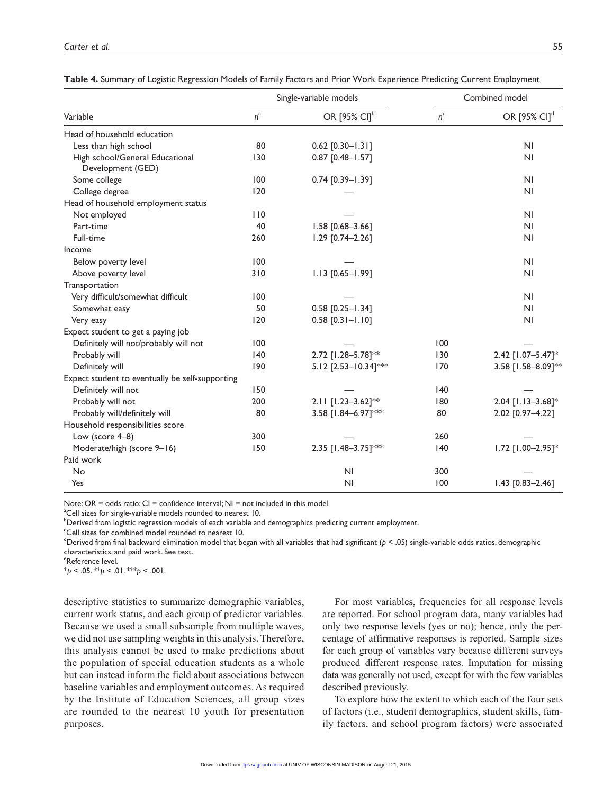|                                                      | Single-variable models |                          | Combined model |                          |
|------------------------------------------------------|------------------------|--------------------------|----------------|--------------------------|
| Variable                                             | $n^a$                  | OR [95% CI] <sup>b</sup> | $n^{c}$        | OR [95% CI] <sup>d</sup> |
| Head of household education                          |                        |                          |                |                          |
| Less than high school                                | 80                     | $0.62$ [0.30-1.31]       |                | N <sub>l</sub>           |
| High school/General Educational<br>Development (GED) | 130                    | 0.87 [0.48-1.57]         |                | N <sub>l</sub>           |
| Some college                                         | 100                    | 0.74 [0.39-1.39]         |                | N <sub>l</sub>           |
| College degree                                       | 120                    |                          |                | N <sub>l</sub>           |
| Head of household employment status                  |                        |                          |                |                          |
| Not employed                                         | 110                    |                          |                | N <sub>l</sub>           |
| Part-time                                            | 40                     | $1.58$ [0.68-3.66]       |                | N <sub>l</sub>           |
| Full-time                                            | 260                    | 1.29 [0.74-2.26]         |                | N <sub>1</sub>           |
| Income                                               |                        |                          |                |                          |
| Below poverty level                                  | 100                    |                          |                | N <sub>1</sub>           |
| Above poverty level                                  | 310                    | 1.13 [0.65-1.99]         |                | N <sub>1</sub>           |
| Transportation                                       |                        |                          |                |                          |
| Very difficult/somewhat difficult                    | 100                    |                          |                | N <sub>1</sub>           |
| Somewhat easy                                        | 50                     | $0.58$ [0.25-1.34]       |                | N <sub>l</sub>           |
| Very easy                                            | 120                    | $0.58$ [0.31-1.10]       |                | N <sub>l</sub>           |
| Expect student to get a paying job                   |                        |                          |                |                          |
| Definitely will not/probably will not                | 100                    |                          | 100            |                          |
| Probably will                                        | 140                    | 2.72 [1.28-5.78]**       | 130            | 2.42 [1.07-5.47]*        |
| Definitely will                                      | 190                    | 5.12 [2.53-10.34]***     | 170            | 3.58 [1.58-8.09]**       |
| Expect student to eventually be self-supporting      |                        |                          |                |                          |
| Definitely will not                                  | 150                    |                          | 140            |                          |
| Probably will not                                    | 200                    | 2.11 [1.23-3.62]**       | 180            | 2.04 [1.13-3.68]*        |
| Probably will/definitely will                        | 80                     | 3.58 [1.84-6.97]**       | 80             | 2.02 [0.97-4.22]         |
| Household responsibilities score                     |                        |                          |                |                          |
| Low (score 4-8)                                      | 300                    |                          | 260            |                          |
| Moderate/high (score 9-16)                           | 150                    | 2.35 [1.48-3.75]**       | 140            | 1.72 [1.00-2.95]*        |
| Paid work                                            |                        |                          |                |                          |
| No                                                   |                        | N <sub>1</sub>           | 300            |                          |
| Yes                                                  |                        | N <sub>1</sub>           | 100            | $1.43$ [0.83-2.46]       |

|  |  |  | Table 4. Summary of Logistic Regression Models of Family Factors and Prior Work Experience Predicting Current Employment |  |  |  |
|--|--|--|--------------------------------------------------------------------------------------------------------------------------|--|--|--|
|--|--|--|--------------------------------------------------------------------------------------------------------------------------|--|--|--|

Note: OR = odds ratio; CI = confidence interval; NI = not included in this model.

<sup>a</sup>Cell sizes for single-variable models rounded to nearest 10.

 $^{\rm b}$ Derived from logistic regression models of each variable and demographics predicting current employment.

<sup>c</sup>Cell sizes for combined model rounded to nearest 10.

d Derived from final backward elimination model that began with all variables that had significant (*p* < .05) single-variable odds ratios, demographic characteristics, and paid work. See text.

e Reference level.

 $*_{p}$  < .05.  $*_{p}$  < .01.  $*_{p}$  < .001.

descriptive statistics to summarize demographic variables, current work status, and each group of predictor variables. Because we used a small subsample from multiple waves, we did not use sampling weights in this analysis. Therefore, this analysis cannot be used to make predictions about the population of special education students as a whole but can instead inform the field about associations between baseline variables and employment outcomes. As required by the Institute of Education Sciences, all group sizes are rounded to the nearest 10 youth for presentation purposes.

For most variables, frequencies for all response levels are reported. For school program data, many variables had only two response levels (yes or no); hence, only the percentage of affirmative responses is reported. Sample sizes for each group of variables vary because different surveys produced different response rates. Imputation for missing data was generally not used, except for with the few variables described previously.

To explore how the extent to which each of the four sets of factors (i.e., student demographics, student skills, family factors, and school program factors) were associated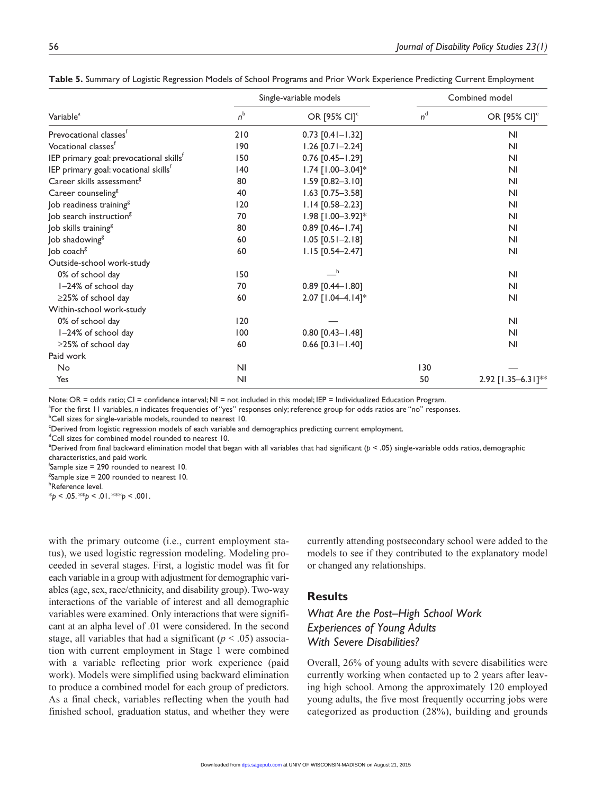| Variable <sup>a</sup>                               | Single-variable models |                          | Combined model |                          |
|-----------------------------------------------------|------------------------|--------------------------|----------------|--------------------------|
|                                                     | $n^{\rm b}$            | OR [95% CI] <sup>c</sup> | $n^d$          | OR [95% CI] <sup>e</sup> |
| Prevocational classes <sup>f</sup>                  | 210                    | $0.73$ [0.41-1.32]       |                | N <sub>l</sub>           |
| Vocational classes <sup>f</sup>                     | 190                    | $1.26$ [0.71-2.24]       |                | N <sub>l</sub>           |
| IEP primary goal: prevocational skills <sup>f</sup> | 150                    | 0.76 [0.45-1.29]         |                | N <sub>l</sub>           |
| IEP primary goal: vocational skills <sup>f</sup>    | 140                    | 1.74 [1.00-3.04]*        |                | N <sub>l</sub>           |
| Career skills assessment <sup>8</sup>               | 80                     | $1.59$ [0.82-3.10]       |                | N <sub>1</sub>           |
| Career counseling <sup>g</sup>                      | 40                     | $1.63$ [0.75-3.58]       |                | N <sub>l</sub>           |
| ob readiness training <sup>8</sup>                  | 120                    | $1.14$ [0.58-2.23]       |                | N <sub>l</sub>           |
| Job search instruction <sup>8</sup>                 | 70                     | 1.98 [1.00-3.92]*        |                | N <sub>l</sub>           |
| Job skills training <sup>8</sup>                    | 80                     | 0.89 [0.46-1.74]         |                | N <sub>l</sub>           |
| Job shadowing <sup>8</sup>                          | 60                     | $1.05$ [0.51-2.18]       |                | N <sub>l</sub>           |
| $\mathsf{lob}$ coach <sup>g</sup>                   | 60                     | $1.15$ [0.54-2.47]       |                | N <sub>l</sub>           |
| Outside-school work-study                           |                        |                          |                |                          |
| 0% of school day                                    | 150                    | h                        |                | N <sub>l</sub>           |
| I-24% of school day                                 | 70                     | $0.89$ [0.44-1.80]       |                | N <sub>l</sub>           |
| $\geq$ 25% of school day                            | 60                     | 2.07 [1.04-4.14]*        |                | N <sub>l</sub>           |
| Within-school work-study                            |                        |                          |                |                          |
| 0% of school day                                    | 120                    |                          |                | N <sub>l</sub>           |
| I-24% of school day                                 | 100                    | $0.80$ [0.43-1.48]       |                | <b>NI</b>                |
| $\geq$ 25% of school day                            | 60                     | $0.66$ [0.31-1.40]       |                | N <sub>l</sub>           |
| Paid work                                           |                        |                          |                |                          |
| No                                                  | N <sub>1</sub>         |                          | 130            |                          |
| Yes                                                 | NI                     |                          | 50             | 2.92 [1.35-6.31]**       |

**Table 5.** Summary of Logistic Regression Models of School Programs and Prior Work Experience Predicting Current Employment

Note: OR = odds ratio; CI = confidence interval; NI = not included in this model; IEP = Individualized Education Program.

<sup>a</sup>For the first 11 variables, *n* indicates frequencies of "yes" responses only; reference group for odds ratios are "no" responses.

<sup>b</sup>Cell sizes for single-variable models, rounded to nearest 10.

c Derived from logistic regression models of each variable and demographics predicting current employment.

d Cell sizes for combined model rounded to nearest 10.

e Derived from final backward elimination model that began with all variables that had significant (*p* < .05) single-variable odds ratios, demographic characteristics, and paid work.

 $f$ Sample size = 290 rounded to nearest 10.

 $s$ Sample size = 200 rounded to nearest 10.

h Reference level.

 $*_{p}$  < .05. \*\**p* < .01. \*\**p* < .001.

with the primary outcome (i.e., current employment status), we used logistic regression modeling. Modeling proceeded in several stages. First, a logistic model was fit for each variable in a group with adjustment for demographic variables (age, sex, race/ethnicity, and disability group). Two-way interactions of the variable of interest and all demographic variables were examined. Only interactions that were significant at an alpha level of .01 were considered. In the second stage, all variables that had a significant  $(p < .05)$  association with current employment in Stage 1 were combined with a variable reflecting prior work experience (paid work). Models were simplified using backward elimination to produce a combined model for each group of predictors. As a final check, variables reflecting when the youth had finished school, graduation status, and whether they were currently attending postsecondary school were added to the models to see if they contributed to the explanatory model or changed any relationships.

## **Results**

# *What Are the Post–High School Work Experiences of Young Adults With Severe Disabilities?*

Overall, 26% of young adults with severe disabilities were currently working when contacted up to 2 years after leaving high school. Among the approximately 120 employed young adults, the five most frequently occurring jobs were categorized as production (28%), building and grounds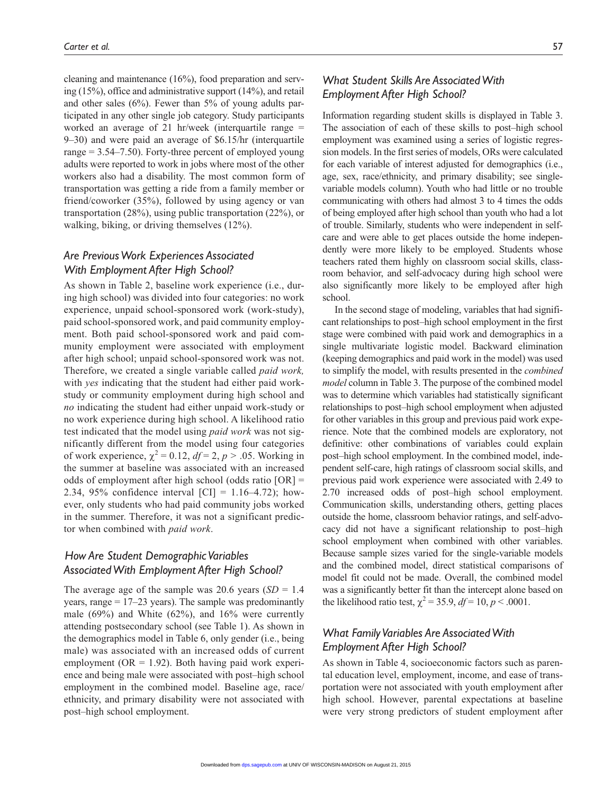cleaning and maintenance (16%), food preparation and serving (15%), office and administrative support (14%), and retail and other sales (6%). Fewer than 5% of young adults participated in any other single job category. Study participants worked an average of 21 hr/week (interquartile range = 9–30) and were paid an average of \$6.15/hr (interquartile range = 3.54–7.50). Forty-three percent of employed young adults were reported to work in jobs where most of the other workers also had a disability. The most common form of transportation was getting a ride from a family member or friend/coworker (35%), followed by using agency or van transportation (28%), using public transportation (22%), or walking, biking, or driving themselves (12%).

# *Are Previous Work Experiences Associated With Employment After High School?*

As shown in Table 2, baseline work experience (i.e., during high school) was divided into four categories: no work experience, unpaid school-sponsored work (work-study), paid school-sponsored work, and paid community employment. Both paid school-sponsored work and paid community employment were associated with employment after high school; unpaid school-sponsored work was not. Therefore, we created a single variable called *paid work,* with *yes* indicating that the student had either paid workstudy or community employment during high school and *no* indicating the student had either unpaid work-study or no work experience during high school. A likelihood ratio test indicated that the model using *paid work* was not significantly different from the model using four categories of work experience,  $\chi^2 = 0.12$ ,  $df = 2$ ,  $p > .05$ . Working in the summer at baseline was associated with an increased odds of employment after high school (odds ratio [OR] = 2.34, 95% confidence interval  $|CI| = 1.16-4.72$ ; however, only students who had paid community jobs worked in the summer. Therefore, it was not a significant predictor when combined with *paid work*.

# *How Are Student Demographic Variables Associated With Employment After High School?*

The average age of the sample was 20.6 years  $(SD = 1.4)$ years, range  $= 17-23$  years). The sample was predominantly male (69%) and White (62%), and  $16\%$  were currently attending postsecondary school (see Table 1). As shown in the demographics model in Table 6, only gender (i.e., being male) was associated with an increased odds of current employment ( $OR = 1.92$ ). Both having paid work experience and being male were associated with post–high school employment in the combined model. Baseline age, race/ ethnicity, and primary disability were not associated with post–high school employment.

# *What Student Skills Are Associated With Employment After High School?*

Information regarding student skills is displayed in Table 3. The association of each of these skills to post–high school employment was examined using a series of logistic regression models. In the first series of models, ORs were calculated for each variable of interest adjusted for demographics (i.e., age, sex, race/ethnicity, and primary disability; see singlevariable models column). Youth who had little or no trouble communicating with others had almost 3 to 4 times the odds of being employed after high school than youth who had a lot of trouble. Similarly, students who were independent in selfcare and were able to get places outside the home independently were more likely to be employed. Students whose teachers rated them highly on classroom social skills, classroom behavior, and self-advocacy during high school were also significantly more likely to be employed after high school.

In the second stage of modeling, variables that had significant relationships to post–high school employment in the first stage were combined with paid work and demographics in a single multivariate logistic model. Backward elimination (keeping demographics and paid work in the model) was used to simplify the model, with results presented in the *combined model* column in Table 3. The purpose of the combined model was to determine which variables had statistically significant relationships to post–high school employment when adjusted for other variables in this group and previous paid work experience. Note that the combined models are exploratory, not definitive: other combinations of variables could explain post–high school employment. In the combined model, independent self-care, high ratings of classroom social skills, and previous paid work experience were associated with 2.49 to 2.70 increased odds of post–high school employment. Communication skills, understanding others, getting places outside the home, classroom behavior ratings, and self-advocacy did not have a significant relationship to post–high school employment when combined with other variables. Because sample sizes varied for the single-variable models and the combined model, direct statistical comparisons of model fit could not be made. Overall, the combined model was a significantly better fit than the intercept alone based on the likelihood ratio test,  $\chi^2 = 35.9$ ,  $df = 10$ ,  $p < .0001$ .

# *What Family Variables Are Associated With Employment After High School?*

As shown in Table 4, socioeconomic factors such as parental education level, employment, income, and ease of transportation were not associated with youth employment after high school. However, parental expectations at baseline were very strong predictors of student employment after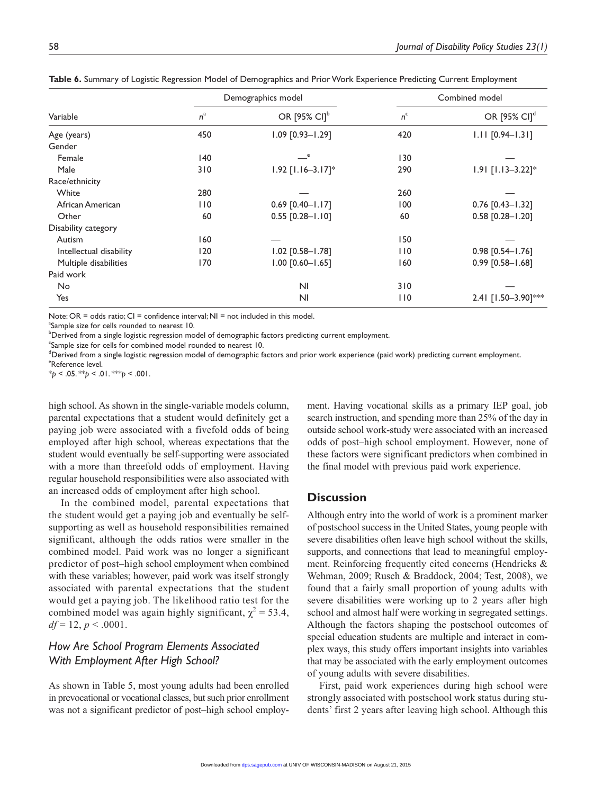|                         |       | Demographics model       | Combined model |                          |
|-------------------------|-------|--------------------------|----------------|--------------------------|
| Variable                | $n^a$ | OR [95% CI] <sup>b</sup> | $n^{c}$        | OR [95% CI] <sup>d</sup> |
| Age (years)             | 450   | $1.09$ [0.93-1.29]       | 420            | $1.11$ [0.94-1.31]       |
| Gender                  |       |                          |                |                          |
| Female                  | 40    | e e                      | 130            |                          |
| Male                    | 310   | $1.92$ [1.16-3.17]*      | 290            | $1.91$ [1.13-3.22]*      |
| Race/ethnicity          |       |                          |                |                          |
| White                   | 280   |                          | 260            |                          |
| African American        | 110   | $0.69$ [0.40-1.17]       | 100            | $0.76$ [0.43-1.32]       |
| Other                   | 60    | $0.55$ [0.28-1.10]       | 60             | 0.58 [0.28-1.20]         |
| Disability category     |       |                          |                |                          |
| Autism                  | 160   |                          | 150            |                          |
| Intellectual disability | 120   | $1.02$ [0.58-1.78]       | 110            | $0.98$ [0.54-1.76]       |
| Multiple disabilities   | 170   | $1.00$ [0.60-1.65]       | 160            | 0.99 [0.58-1.68]         |
| Paid work               |       |                          |                |                          |
| No                      |       | N <sub>1</sub>           | 310            |                          |
| Yes                     |       | N <sub>1</sub>           | 110            | 2.41 [1.50-3.90]**       |

**Table 6.** Summary of Logistic Regression Model of Demographics and Prior Work Experience Predicting Current Employment

Note:  $OR = odds ratio$ ;  $CI = confidence interval$ ;  $NI = not included in this model$ .

<sup>a</sup>Sample size for cells rounded to nearest 10.

**Derived from a single logistic regression model of demographic factors predicting current employment.** 

Sample size for cells for combined model rounded to nearest 10.

<sup>d</sup>Derived from a single logistic regression model of demographic factors and prior work experience (paid work) predicting current employment.

e Reference level.

 $*_{p}$  < .05.  $*_{p}$  < .01.  $*_{p}$  < .001.

high school. As shown in the single-variable models column, parental expectations that a student would definitely get a paying job were associated with a fivefold odds of being employed after high school, whereas expectations that the student would eventually be self-supporting were associated with a more than threefold odds of employment. Having regular household responsibilities were also associated with an increased odds of employment after high school.

In the combined model, parental expectations that the student would get a paying job and eventually be selfsupporting as well as household responsibilities remained significant, although the odds ratios were smaller in the combined model. Paid work was no longer a significant predictor of post–high school employment when combined with these variables; however, paid work was itself strongly associated with parental expectations that the student would get a paying job. The likelihood ratio test for the combined model was again highly significant,  $\chi^2 = 53.4$ ,  $df = 12$ ,  $p < .0001$ .

# *How Are School Program Elements Associated With Employment After High School?*

As shown in Table 5, most young adults had been enrolled in prevocational or vocational classes, but such prior enrollment was not a significant predictor of post–high school employment. Having vocational skills as a primary IEP goal, job search instruction, and spending more than 25% of the day in outside school work-study were associated with an increased odds of post–high school employment. However, none of these factors were significant predictors when combined in the final model with previous paid work experience.

#### **Discussion**

Although entry into the world of work is a prominent marker of postschool success in the United States, young people with severe disabilities often leave high school without the skills, supports, and connections that lead to meaningful employment. Reinforcing frequently cited concerns (Hendricks & Wehman, 2009; Rusch & Braddock, 2004; Test, 2008), we found that a fairly small proportion of young adults with severe disabilities were working up to 2 years after high school and almost half were working in segregated settings. Although the factors shaping the postschool outcomes of special education students are multiple and interact in complex ways, this study offers important insights into variables that may be associated with the early employment outcomes of young adults with severe disabilities.

First, paid work experiences during high school were strongly associated with postschool work status during students' first 2 years after leaving high school. Although this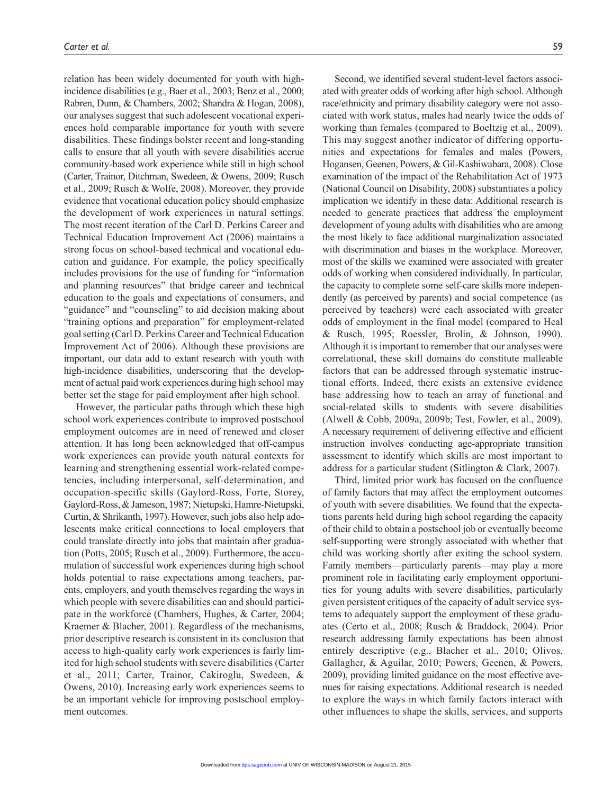relation has been widely documented for youth with highincidence disabilities (e.g., Baer et al., 2003; Benz et al., 2000; Rabren, Dunn, & Chambers, 2002; Shandra & Hogan, 2008), our analyses suggest that such adolescent vocational experiences hold comparable importance for youth with severe disabilities. These findings bolster recent and long-standing calls to ensure that all youth with severe disabilities accrue community-based work experience while still in high school (Carter, Trainor, Ditchman, Swedeen, & Owens, 2009; Rusch et al., 2009; Rusch & Wolfe, 2008). Moreover, they provide evidence that vocational education policy should emphasize the development of work experiences in natural settings. The most recent iteration of the Carl D. Perkins Career and Technical Education Improvement Act (2006) maintains a strong focus on school-based technical and vocational education and guidance. For example, the policy specifically includes provisions for the use of funding for "information and planning resources" that bridge career and technical education to the goals and expectations of consumers, and "guidance" and "counseling" to aid decision making about "training options and preparation" for employment-related goal setting (Carl D. Perkins Career and Technical Education Improvement Act of 2006). Although these provisions are important, our data add to extant research with youth with high-incidence disabilities, underscoring that the development of actual paid work experiences during high school may better set the stage for paid employment after high school.

However, the particular paths through which these high school work experiences contribute to improved postschool employment outcomes are in need of renewed and closer attention. It has long been acknowledged that off-campus work experiences can provide youth natural contexts for learning and strengthening essential work-related competencies, including interpersonal, self-determination, and occupation-specific skills (Gaylord-Ross, Forte, Storey, Gaylord-Ross, & Jameson, 1987; Nietupski, Hamre-Nietupski, Curtin, & Shrikanth, 1997). However, such jobs also help adolescents make critical connections to local employers that could translate directly into jobs that maintain after graduation (Potts, 2005; Rusch et al., 2009). Furthermore, the accumulation of successful work experiences during high school holds potential to raise expectations among teachers, parents, employers, and youth themselves regarding the ways in which people with severe disabilities can and should participate in the workforce (Chambers, Hughes, & Carter, 2004; Kraemer & Blacher, 2001). Regardless of the mechanisms, prior descriptive research is consistent in its conclusion that access to high-quality early work experiences is fairly limited for high school students with severe disabilities (Carter et al., 2011; Carter, Trainor, Cakiroglu, Swedeen, & Owens, 2010). Increasing early work experiences seems to be an important vehicle for improving postschool employment outcomes.

Second, we identified several student-level factors associated with greater odds of working after high school. Although race/ethnicity and primary disability category were not associated with work status, males had nearly twice the odds of working than females (compared to Boeltzig et al., 2009). This may suggest another indicator of differing opportunities and expectations for females and males (Powers, Hogansen, Geenen, Powers, & Gil-Kashiwabara, 2008). Close examination of the impact of the Rehabilitation Act of 1973 (National Council on Disability, 2008) substantiates a policy implication we identify in these data: Additional research is needed to generate practices that address the employment development of young adults with disabilities who are among the most likely to face additional marginalization associated with discrimination and biases in the workplace. Moreover, most of the skills we examined were associated with greater odds of working when considered individually. In particular, the capacity to complete some self-care skills more independently (as perceived by parents) and social competence (as perceived by teachers) were each associated with greater odds of employment in the final model (compared to Heal & Rusch, 1995; Roessler, Brolin, & Johnson, 1990). Although it is important to remember that our analyses were correlational, these skill domains do constitute malleable factors that can be addressed through systematic instructional efforts. Indeed, there exists an extensive evidence base addressing how to teach an array of functional and social-related skills to students with severe disabilities (Alwell & Cobb, 2009a, 2009b; Test, Fowler, et al., 2009). A necessary requirement of delivering effective and efficient instruction involves conducting age-appropriate transition assessment to identify which skills are most important to address for a particular student (Sitlington & Clark, 2007).

Third, limited prior work has focused on the confluence of family factors that may affect the employment outcomes of youth with severe disabilities. We found that the expectations parents held during high school regarding the capacity of their child to obtain a postschool job or eventually become self-supporting were strongly associated with whether that child was working shortly after exiting the school system. Family members—particularly parents—may play a more prominent role in facilitating early employment opportunities for young adults with severe disabilities, particularly given persistent critiques of the capacity of adult service systems to adequately support the employment of these graduates (Certo et al., 2008; Rusch & Braddock, 2004). Prior research addressing family expectations has been almost entirely descriptive (e.g., Blacher et al., 2010; Olivos, Gallagher, & Aguilar, 2010; Powers, Geenen, & Powers, 2009), providing limited guidance on the most effective avenues for raising expectations. Additional research is needed to explore the ways in which family factors interact with other influences to shape the skills, services, and supports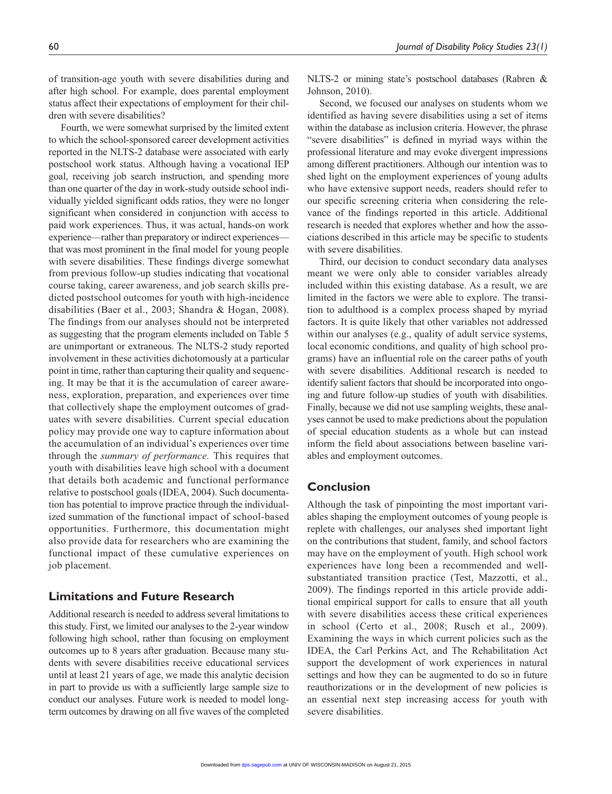of transition-age youth with severe disabilities during and after high school. For example, does parental employment status affect their expectations of employment for their children with severe disabilities?

Fourth, we were somewhat surprised by the limited extent to which the school-sponsored career development activities reported in the NLTS-2 database were associated with early postschool work status. Although having a vocational IEP goal, receiving job search instruction, and spending more than one quarter of the day in work-study outside school individually yielded significant odds ratios, they were no longer significant when considered in conjunction with access to paid work experiences. Thus, it was actual, hands-on work experience—rather than preparatory or indirect experiences that was most prominent in the final model for young people with severe disabilities. These findings diverge somewhat from previous follow-up studies indicating that vocational course taking, career awareness, and job search skills predicted postschool outcomes for youth with high-incidence disabilities (Baer et al., 2003; Shandra & Hogan, 2008). The findings from our analyses should not be interpreted as suggesting that the program elements included on Table 5 are unimportant or extraneous. The NLTS-2 study reported involvement in these activities dichotomously at a particular point in time, rather than capturing their quality and sequencing. It may be that it is the accumulation of career awareness, exploration, preparation, and experiences over time that collectively shape the employment outcomes of graduates with severe disabilities. Current special education policy may provide one way to capture information about the accumulation of an individual's experiences over time through the *summary of performance.* This requires that youth with disabilities leave high school with a document that details both academic and functional performance relative to postschool goals (IDEA, 2004). Such documentation has potential to improve practice through the individualized summation of the functional impact of school-based opportunities. Furthermore, this documentation might also provide data for researchers who are examining the functional impact of these cumulative experiences on job placement.

# **Limitations and Future Research**

Additional research is needed to address several limitations to this study. First, we limited our analyses to the 2-year window following high school, rather than focusing on employment outcomes up to 8 years after graduation. Because many students with severe disabilities receive educational services until at least 21 years of age, we made this analytic decision in part to provide us with a sufficiently large sample size to conduct our analyses. Future work is needed to model longterm outcomes by drawing on all five waves of the completed NLTS-2 or mining state's postschool databases (Rabren & Johnson, 2010).

Second, we focused our analyses on students whom we identified as having severe disabilities using a set of items within the database as inclusion criteria. However, the phrase "severe disabilities" is defined in myriad ways within the professional literature and may evoke divergent impressions among different practitioners. Although our intention was to shed light on the employment experiences of young adults who have extensive support needs, readers should refer to our specific screening criteria when considering the relevance of the findings reported in this article. Additional research is needed that explores whether and how the associations described in this article may be specific to students with severe disabilities.

Third, our decision to conduct secondary data analyses meant we were only able to consider variables already included within this existing database. As a result, we are limited in the factors we were able to explore. The transition to adulthood is a complex process shaped by myriad factors. It is quite likely that other variables not addressed within our analyses (e.g., quality of adult service systems, local economic conditions, and quality of high school programs) have an influential role on the career paths of youth with severe disabilities. Additional research is needed to identify salient factors that should be incorporated into ongoing and future follow-up studies of youth with disabilities. Finally, because we did not use sampling weights, these analyses cannot be used to make predictions about the population of special education students as a whole but can instead inform the field about associations between baseline variables and employment outcomes.

### **Conclusion**

Although the task of pinpointing the most important variables shaping the employment outcomes of young people is replete with challenges, our analyses shed important light on the contributions that student, family, and school factors may have on the employment of youth. High school work experiences have long been a recommended and wellsubstantiated transition practice (Test, Mazzotti, et al., 2009). The findings reported in this article provide additional empirical support for calls to ensure that all youth with severe disabilities access these critical experiences in school (Certo et al., 2008; Rusch et al., 2009). Examining the ways in which current policies such as the IDEA, the Carl Perkins Act, and The Rehabilitation Act support the development of work experiences in natural settings and how they can be augmented to do so in future reauthorizations or in the development of new policies is an essential next step increasing access for youth with severe disabilities.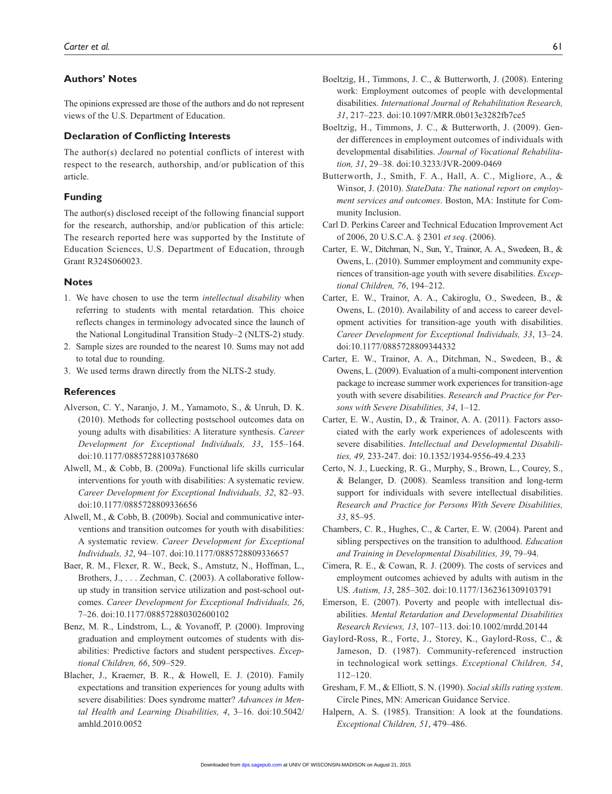#### **Authors' Notes**

The opinions expressed are those of the authors and do not represent views of the U.S. Department of Education.

### **Declaration of Conflicting Interests**

The author(s) declared no potential conflicts of interest with respect to the research, authorship, and/or publication of this article.

#### **Funding**

The author(s) disclosed receipt of the following financial support for the research, authorship, and/or publication of this article: The research reported here was supported by the Institute of Education Sciences, U.S. Department of Education, through Grant R324S060023.

#### **Notes**

- 1. We have chosen to use the term *intellectual disability* when referring to students with mental retardation. This choice reflects changes in terminology advocated since the launch of the National Longitudinal Transition Study–2 (NLTS-2) study.
- 2. Sample sizes are rounded to the nearest 10. Sums may not add to total due to rounding.
- 3. We used terms drawn directly from the NLTS-2 study.

### **References**

- Alverson, C. Y., Naranjo, J. M., Yamamoto, S., & Unruh, D. K. (2010). Methods for collecting postschool outcomes data on young adults with disabilities: A literature synthesis. *Career Development for Exceptional Individuals, 33*, 155–164. doi:10.1177/0885728810378680
- Alwell, M., & Cobb, B. (2009a). Functional life skills curricular interventions for youth with disabilities: A systematic review. *Career Development for Exceptional Individuals, 32*, 82–93. doi:10.1177/0885728809336656
- Alwell, M., & Cobb, B. (2009b). Social and communicative interventions and transition outcomes for youth with disabilities: A systematic review. *Career Development for Exceptional Individuals, 32*, 94–107. doi:10.1177/0885728809336657
- Baer, R. M., Flexer, R. W., Beck, S., Amstutz, N., Hoffman, L., Brothers, J., . . . Zechman, C. (2003). A collaborative followup study in transition service utilization and post-school outcomes. *Career Development for Exceptional Individuals, 26*, 7–26. doi:10.1177/088572880302600102
- Benz, M. R., Lindstrom, L., & Yovanoff, P. (2000). Improving graduation and employment outcomes of students with disabilities: Predictive factors and student perspectives. *Exceptional Children, 66*, 509–529.
- Blacher, J., Kraemer, B. R., & Howell, E. J. (2010). Family expectations and transition experiences for young adults with severe disabilities: Does syndrome matter? *Advances in Mental Health and Learning Disabilities, 4*, 3–16. doi:10.5042/ amhld.2010.0052
- Boeltzig, H., Timmons, J. C., & Butterworth, J. (2008). Entering work: Employment outcomes of people with developmental disabilities. *International Journal of Rehabilitation Research, 31*, 217–223. doi:10.1097/MRR.0b013e3282fb7ce5
- Boeltzig, H., Timmons, J. C., & Butterworth, J. (2009). Gender differences in employment outcomes of individuals with developmental disabilities. *Journal of Vocational Rehabilitation, 31*, 29–38. doi:10.3233/JVR-2009-0469
- Butterworth, J., Smith, F. A., Hall, A. C., Migliore, A., & Winsor, J. (2010). *StateData: The national report on employment services and outcomes*. Boston, MA: Institute for Community Inclusion.
- Carl D. Perkins Career and Technical Education Improvement Act of 2006, 20 U.S.C.A. § 2301 *et seq*. (2006).
- Carter, E. W., Ditchman, N., Sun, Y., Trainor, A. A., Swedeen, B., & Owens, L. (2010). Summer employment and community experiences of transition-age youth with severe disabilities. *Exceptional Children, 76*, 194–212.
- Carter, E. W., Trainor, A. A., Cakiroglu, O., Swedeen, B., & Owens, L. (2010). Availability of and access to career development activities for transition-age youth with disabilities. *Career Development for Exceptional Individuals, 33*, 13–24. doi:10.1177/0885728809344332
- Carter, E. W., Trainor, A. A., Ditchman, N., Swedeen, B., & Owens, L. (2009). Evaluation of a multi-component intervention package to increase summer work experiences for transition-age youth with severe disabilities. *Research and Practice for Persons with Severe Disabilities, 34*, 1–12.
- Carter, E. W., Austin, D., & Trainor, A. A. (2011). Factors associated with the early work experiences of adolescents with severe disabilities. *Intellectual and Developmental Disabilities, 49,* 233-247. doi: 10.1352/1934-9556-49.4.233
- Certo, N. J., Luecking, R. G., Murphy, S., Brown, L., Courey, S., & Belanger, D. (2008). Seamless transition and long-term support for individuals with severe intellectual disabilities. *Research and Practice for Persons With Severe Disabilities, 33*, 85–95.
- Chambers, C. R., Hughes, C., & Carter, E. W. (2004). Parent and sibling perspectives on the transition to adulthood. *Education and Training in Developmental Disabilities, 39*, 79–94.
- Cimera, R. E., & Cowan, R. J. (2009). The costs of services and employment outcomes achieved by adults with autism in the US. *Autism, 13*, 285–302. doi:10.1177/1362361309103791
- Emerson, E. (2007). Poverty and people with intellectual disabilities. *Mental Retardation and Developmental Disabilities Research Reviews, 13*, 107–113. doi:10.1002/mrdd.20144
- Gaylord-Ross, R., Forte, J., Storey, K., Gaylord-Ross, C., & Jameson, D. (1987). Community-referenced instruction in technological work settings. *Exceptional Children, 54*, 112–120.
- Gresham, F. M., & Elliott, S. N. (1990). *Social skills rating system*. Circle Pines, MN: American Guidance Service.
- Halpern, A. S. (1985). Transition: A look at the foundations. *Exceptional Children, 51*, 479–486.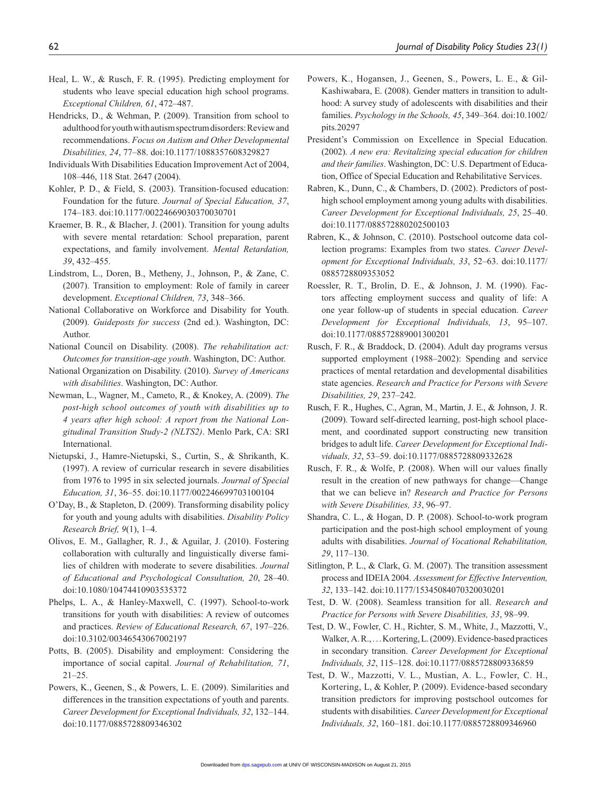- Heal, L. W., & Rusch, F. R. (1995). Predicting employment for students who leave special education high school programs. *Exceptional Children, 61*, 472–487.
- Hendricks, D., & Wehman, P. (2009). Transition from school to adulthood for youth with autism spectrum disorders: Review and recommendations. *Focus on Autism and Other Developmental Disabilities, 24*, 77–88. doi:10.1177/1088357608329827
- Individuals With Disabilities Education Improvement Act of 2004, 108–446, 118 Stat. 2647 (2004).
- Kohler, P. D., & Field, S. (2003). Transition-focused education: Foundation for the future. *Journal of Special Education, 37*, 174–183. doi:10.1177/00224669030370030701
- Kraemer, B. R., & Blacher, J. (2001). Transition for young adults with severe mental retardation: School preparation, parent expectations, and family involvement. *Mental Retardation, 39*, 432–455.
- Lindstrom, L., Doren, B., Metheny, J., Johnson, P., & Zane, C. (2007). Transition to employment: Role of family in career development. *Exceptional Children, 73*, 348–366.
- National Collaborative on Workforce and Disability for Youth. (2009). *Guideposts for success* (2nd ed.). Washington, DC: Author.
- National Council on Disability. (2008). *The rehabilitation act: Outcomes for transition-age youth*. Washington, DC: Author.
- National Organization on Disability. (2010). *Survey of Americans with disabilities*. Washington, DC: Author.
- Newman, L., Wagner, M., Cameto, R., & Knokey, A. (2009). *The post-high school outcomes of youth with disabilities up to 4 years after high school: A report from the National Longitudinal Transition Study-2 (NLTS2)*. Menlo Park, CA: SRI International.
- Nietupski, J., Hamre-Nietupski, S., Curtin, S., & Shrikanth, K. (1997). A review of curricular research in severe disabilities from 1976 to 1995 in six selected journals. *Journal of Special Education, 31*, 36–55. doi:10.1177/002246699703100104
- O'Day, B., & Stapleton, D. (2009). Transforming disability policy for youth and young adults with disabilities. *Disability Policy Research Brief, 9*(1), 1–4.
- Olivos, E. M., Gallagher, R. J., & Aguilar, J. (2010). Fostering collaboration with culturally and linguistically diverse families of children with moderate to severe disabilities. *Journal of Educational and Psychological Consultation, 20*, 28–40. doi:10.1080/10474410903535372
- Phelps, L. A., & Hanley-Maxwell, C. (1997). School-to-work transitions for youth with disabilities: A review of outcomes and practices. *Review of Educational Research, 67*, 197–226. doi:10.3102/00346543067002197
- Potts, B. (2005). Disability and employment: Considering the importance of social capital. *Journal of Rehabilitation, 71*, 21–25.
- Powers, K., Geenen, S., & Powers, L. E. (2009). Similarities and differences in the transition expectations of youth and parents. *Career Development for Exceptional Individuals, 32*, 132–144. doi:10.1177/0885728809346302
- Powers, K., Hogansen, J., Geenen, S., Powers, L. E., & Gil-Kashiwabara, E. (2008). Gender matters in transition to adulthood: A survey study of adolescents with disabilities and their families. *Psychology in the Schools, 45*, 349–364. doi:10.1002/ pits.20297
- President's Commission on Excellence in Special Education. (2002). *A new era: Revitalizing special education for children and their families*. Washington, DC: U.S. Department of Education, Office of Special Education and Rehabilitative Services.
- Rabren, K., Dunn, C., & Chambers, D. (2002). Predictors of posthigh school employment among young adults with disabilities. *Career Development for Exceptional Individuals, 25*, 25–40. doi:10.1177/088572880202500103
- Rabren, K., & Johnson, C. (2010). Postschool outcome data collection programs: Examples from two states. *Career Development for Exceptional Individuals, 33*, 52–63. doi:10.1177/ 0885728809353052
- Roessler, R. T., Brolin, D. E., & Johnson, J. M. (1990). Factors affecting employment success and quality of life: A one year follow-up of students in special education. *Career Development for Exceptional Individuals, 13*, 95–107. doi:10.1177/088572889001300201
- Rusch, F. R., & Braddock, D. (2004). Adult day programs versus supported employment (1988–2002): Spending and service practices of mental retardation and developmental disabilities state agencies. *Research and Practice for Persons with Severe Disabilities, 29*, 237–242.
- Rusch, F. R., Hughes, C., Agran, M., Martin, J. E., & Johnson, J. R. (2009). Toward self-directed learning, post-high school placement, and coordinated support constructing new transition bridges to adult life. *Career Development for Exceptional Individuals, 32*, 53–59. doi:10.1177/0885728809332628
- Rusch, F. R., & Wolfe, P. (2008). When will our values finally result in the creation of new pathways for change—Change that we can believe in? *Research and Practice for Persons with Severe Disabilities, 33*, 96–97.
- Shandra, C. L., & Hogan, D. P. (2008). School-to-work program participation and the post-high school employment of young adults with disabilities. *Journal of Vocational Rehabilitation, 29*, 117–130.
- Sitlington, P. L., & Clark, G. M. (2007). The transition assessment process and IDEIA 2004. *Assessment for Effective Intervention, 32*, 133–142. doi:10.1177/15345084070320030201
- Test, D. W. (2008). Seamless transition for all. *Research and Practice for Persons with Severe Disabilities, 33*, 98–99.
- Test, D. W., Fowler, C. H., Richter, S. M., White, J., Mazzotti, V., Walker, A. R., . . . Kortering, L. (2009). Evidence-based practices in secondary transition. *Career Development for Exceptional Individuals, 32*, 115–128. doi:10.1177/0885728809336859
- Test, D. W., Mazzotti, V. L., Mustian, A. L., Fowler, C. H., Kortering, L, & Kohler, P. (2009). Evidence-based secondary transition predictors for improving postschool outcomes for students with disabilities. *Career Development for Exceptional Individuals, 32*, 160–181. doi:10.1177/0885728809346960